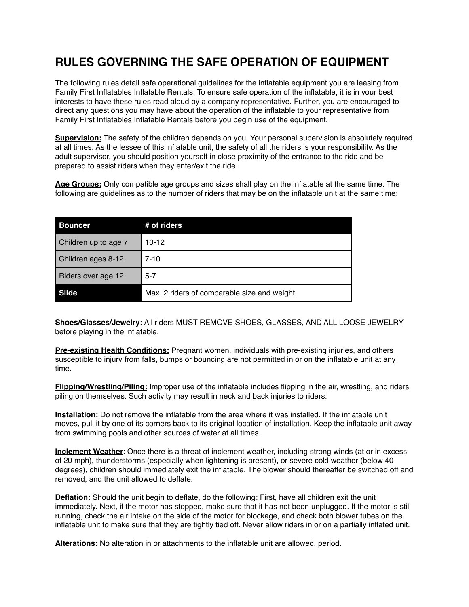## **RULES GOVERNING THE SAFE OPERATION OF EQUIPMENT**

The following rules detail safe operational guidelines for the inflatable equipment you are leasing from Family First Inflatables Inflatable Rentals. To ensure safe operation of the inflatable, it is in your best interests to have these rules read aloud by a company representative. Further, you are encouraged to direct any questions you may have about the operation of the inflatable to your representative from Family First Inflatables Inflatable Rentals before you begin use of the equipment.

**Supervision:** The safety of the children depends on you. Your personal supervision is absolutely required at all times. As the lessee of this inflatable unit, the safety of all the riders is your responsibility. As the adult supervisor, you should position yourself in close proximity of the entrance to the ride and be prepared to assist riders when they enter/exit the ride.

**Age Groups:** Only compatible age groups and sizes shall play on the inflatable at the same time. The following are guidelines as to the number of riders that may be on the inflatable unit at the same time:

| <b>Bouncer</b>       | # of riders                                 |
|----------------------|---------------------------------------------|
| Children up to age 7 | $10-12$                                     |
| Children ages 8-12   | $7 - 10$                                    |
| Riders over age 12   | $5 - 7$                                     |
| Slide                | Max. 2 riders of comparable size and weight |

**Shoes/Glasses/Jewelry:** All riders MUST REMOVE SHOES, GLASSES, AND ALL LOOSE JEWELRY before playing in the inflatable.

**Pre-existing Health Conditions:** Pregnant women, individuals with pre-existing injuries, and others susceptible to injury from falls, bumps or bouncing are not permitted in or on the inflatable unit at any time.

**Flipping/Wrestling/Piling:** Improper use of the inflatable includes flipping in the air, wrestling, and riders piling on themselves. Such activity may result in neck and back injuries to riders.

**Installation:** Do not remove the inflatable from the area where it was installed. If the inflatable unit moves, pull it by one of its corners back to its original location of installation. Keep the inflatable unit away from swimming pools and other sources of water at all times.

**Inclement Weather**: Once there is a threat of inclement weather, including strong winds (at or in excess of 20 mph), thunderstorms (especially when lightening is present), or severe cold weather (below 40 degrees), children should immediately exit the inflatable. The blower should thereafter be switched off and removed, and the unit allowed to deflate.

**Deflation:** Should the unit begin to deflate, do the following: First, have all children exit the unit immediately. Next, if the motor has stopped, make sure that it has not been unplugged. If the motor is still running, check the air intake on the side of the motor for blockage, and check both blower tubes on the inflatable unit to make sure that they are tightly tied off. Never allow riders in or on a partially inflated unit.

**Alterations:** No alteration in or attachments to the inflatable unit are allowed, period.